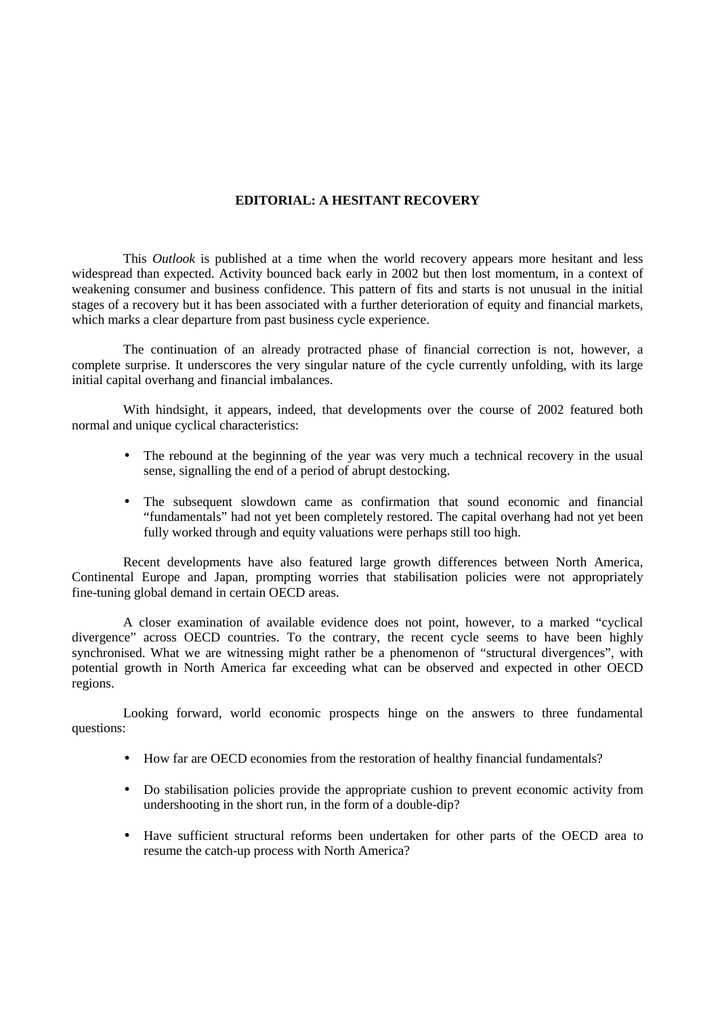## **EDITORIAL: A HESITANT RECOVERY**

This *Outlook* is published at a time when the world recovery appears more hesitant and less widespread than expected. Activity bounced back early in 2002 but then lost momentum, in a context of weakening consumer and business confidence. This pattern of fits and starts is not unusual in the initial stages of a recovery but it has been associated with a further deterioration of equity and financial markets, which marks a clear departure from past business cycle experience.

The continuation of an already protracted phase of financial correction is not, however, a complete surprise. It underscores the very singular nature of the cycle currently unfolding, with its large initial capital overhang and financial imbalances.

With hindsight, it appears, indeed, that developments over the course of 2002 featured both normal and unique cyclical characteristics:

- The rebound at the beginning of the year was very much a technical recovery in the usual sense, signalling the end of a period of abrupt destocking.
- The subsequent slowdown came as confirmation that sound economic and financial "fundamentals" had not yet been completely restored. The capital overhang had not yet been fully worked through and equity valuations were perhaps still too high.

Recent developments have also featured large growth differences between North America, Continental Europe and Japan, prompting worries that stabilisation policies were not appropriately fine-tuning global demand in certain OECD areas.

A closer examination of available evidence does not point, however, to a marked "cyclical divergence" across OECD countries. To the contrary, the recent cycle seems to have been highly synchronised. What we are witnessing might rather be a phenomenon of "structural divergences", with potential growth in North America far exceeding what can be observed and expected in other OECD regions.

Looking forward, world economic prospects hinge on the answers to three fundamental questions:

- How far are OECD economies from the restoration of healthy financial fundamentals?
- Do stabilisation policies provide the appropriate cushion to prevent economic activity from undershooting in the short run, in the form of a double-dip?
- Have sufficient structural reforms been undertaken for other parts of the OECD area to resume the catch-up process with North America?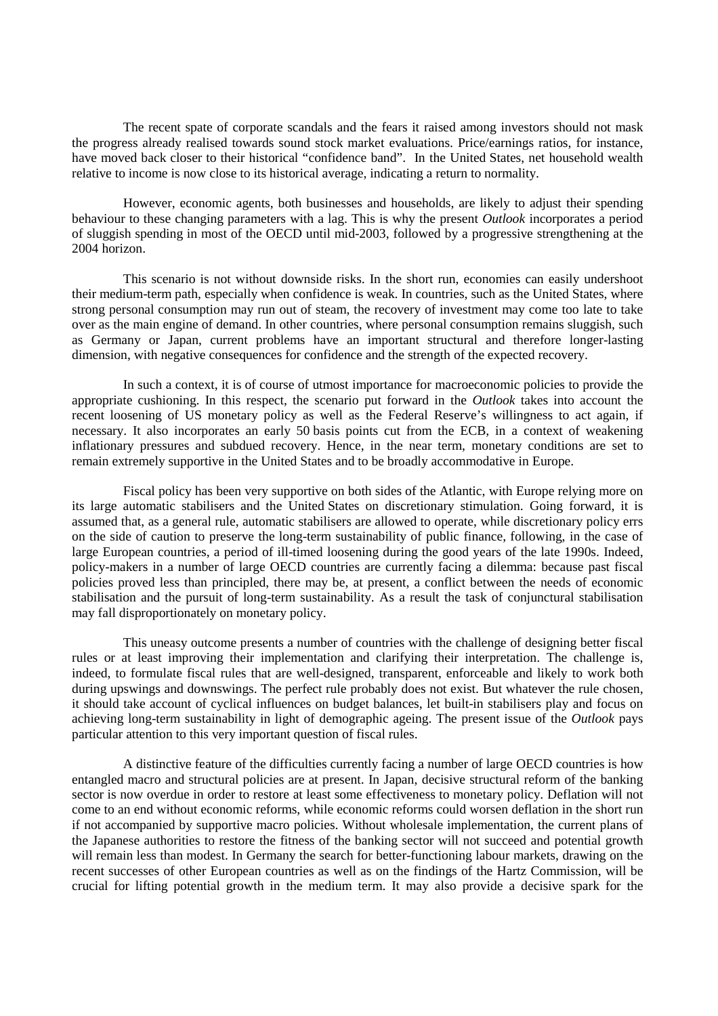The recent spate of corporate scandals and the fears it raised among investors should not mask the progress already realised towards sound stock market evaluations. Price/earnings ratios, for instance, have moved back closer to their historical "confidence band". In the United States, net household wealth relative to income is now close to its historical average, indicating a return to normality.

However, economic agents, both businesses and households, are likely to adjust their spending behaviour to these changing parameters with a lag. This is why the present *Outlook* incorporates a period of sluggish spending in most of the OECD until mid-2003, followed by a progressive strengthening at the 2004 horizon.

This scenario is not without downside risks. In the short run, economies can easily undershoot their medium-term path, especially when confidence is weak. In countries, such as the United States, where strong personal consumption may run out of steam, the recovery of investment may come too late to take over as the main engine of demand. In other countries, where personal consumption remains sluggish, such as Germany or Japan, current problems have an important structural and therefore longer-lasting dimension, with negative consequences for confidence and the strength of the expected recovery.

In such a context, it is of course of utmost importance for macroeconomic policies to provide the appropriate cushioning. In this respect, the scenario put forward in the *Outlook* takes into account the recent loosening of US monetary policy as well as the Federal Reserve's willingness to act again, if necessary. It also incorporates an early 50 basis points cut from the ECB, in a context of weakening inflationary pressures and subdued recovery. Hence, in the near term, monetary conditions are set to remain extremely supportive in the United States and to be broadly accommodative in Europe.

Fiscal policy has been very supportive on both sides of the Atlantic, with Europe relying more on its large automatic stabilisers and the United States on discretionary stimulation. Going forward, it is assumed that, as a general rule, automatic stabilisers are allowed to operate, while discretionary policy errs on the side of caution to preserve the long-term sustainability of public finance, following, in the case of large European countries, a period of ill-timed loosening during the good years of the late 1990s. Indeed, policy-makers in a number of large OECD countries are currently facing a dilemma: because past fiscal policies proved less than principled, there may be, at present, a conflict between the needs of economic stabilisation and the pursuit of long-term sustainability. As a result the task of conjunctural stabilisation may fall disproportionately on monetary policy.

This uneasy outcome presents a number of countries with the challenge of designing better fiscal rules or at least improving their implementation and clarifying their interpretation. The challenge is, indeed, to formulate fiscal rules that are well-designed, transparent, enforceable and likely to work both during upswings and downswings. The perfect rule probably does not exist. But whatever the rule chosen, it should take account of cyclical influences on budget balances, let built-in stabilisers play and focus on achieving long-term sustainability in light of demographic ageing. The present issue of the *Outlook* pays particular attention to this very important question of fiscal rules.

A distinctive feature of the difficulties currently facing a number of large OECD countries is how entangled macro and structural policies are at present. In Japan, decisive structural reform of the banking sector is now overdue in order to restore at least some effectiveness to monetary policy. Deflation will not come to an end without economic reforms, while economic reforms could worsen deflation in the short run if not accompanied by supportive macro policies. Without wholesale implementation, the current plans of the Japanese authorities to restore the fitness of the banking sector will not succeed and potential growth will remain less than modest. In Germany the search for better-functioning labour markets, drawing on the recent successes of other European countries as well as on the findings of the Hartz Commission, will be crucial for lifting potential growth in the medium term. It may also provide a decisive spark for the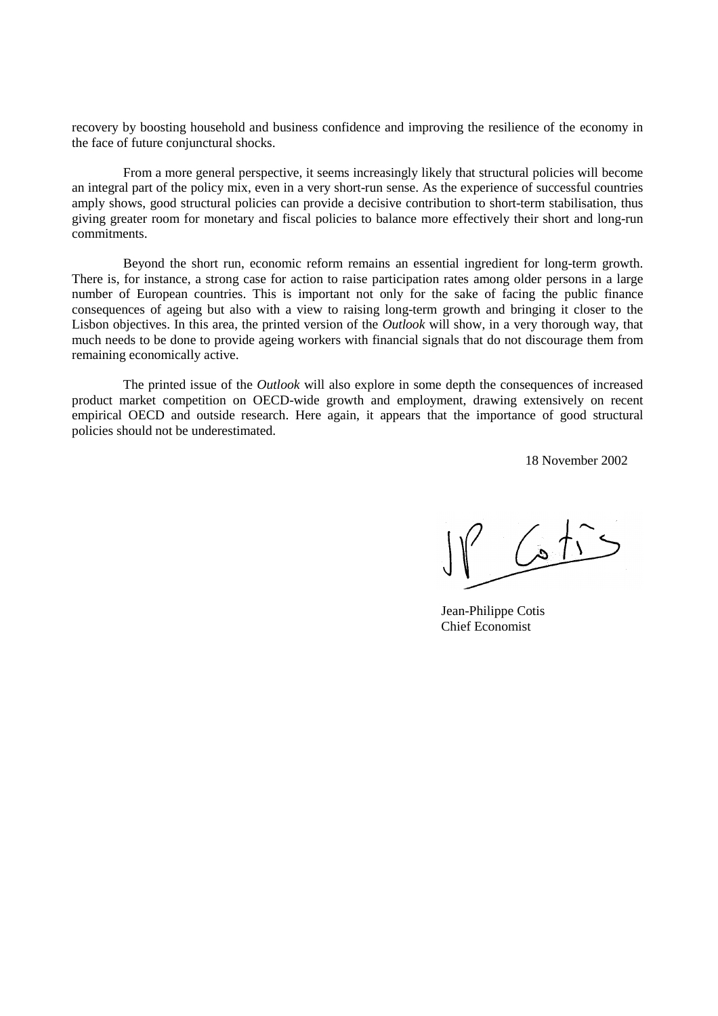recovery by boosting household and business confidence and improving the resilience of the economy in the face of future conjunctural shocks.

From a more general perspective, it seems increasingly likely that structural policies will become an integral part of the policy mix, even in a very short-run sense. As the experience of successful countries amply shows, good structural policies can provide a decisive contribution to short-term stabilisation, thus giving greater room for monetary and fiscal policies to balance more effectively their short and long-run commitments.

Beyond the short run, economic reform remains an essential ingredient for long-term growth. There is, for instance, a strong case for action to raise participation rates among older persons in a large number of European countries. This is important not only for the sake of facing the public finance consequences of ageing but also with a view to raising long-term growth and bringing it closer to the Lisbon objectives. In this area, the printed version of the *Outlook* will show, in a very thorough way, that much needs to be done to provide ageing workers with financial signals that do not discourage them from remaining economically active.

The printed issue of the *Outlook* will also explore in some depth the consequences of increased product market competition on OECD-wide growth and employment, drawing extensively on recent empirical OECD and outside research. Here again, it appears that the importance of good structural policies should not be underestimated.

18 November 2002

 $\sqrt{15}$ 

Jean-Philippe Cotis Chief Economist